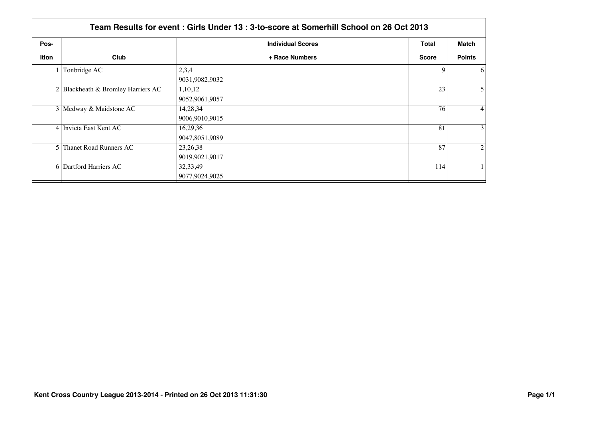|                | Team Results for event: Girls Under 13: 3-to-score at Somerhill School on 26 Oct 2013 |                              |              |                |  |  |
|----------------|---------------------------------------------------------------------------------------|------------------------------|--------------|----------------|--|--|
| Pos-           |                                                                                       | <b>Individual Scores</b>     | <b>Total</b> | Match          |  |  |
| ition          | Club                                                                                  | + Race Numbers               | <b>Score</b> | <b>Points</b>  |  |  |
|                | Tonbridge AC                                                                          | 2,3,4<br>9031,9082,9032      | 9            | 6              |  |  |
|                | 2 Blackheath & Bromley Harriers AC                                                    | 1,10,12<br>9052,9061,9057    | 23           | 5 <sup>1</sup> |  |  |
|                | 3 Medway & Maidstone AC                                                               | 14,28,34<br>9006,9010,9015   | 76           | $\vert$        |  |  |
|                | 4 Invicta East Kent AC                                                                | 16,29,36<br>9047,8051,9089   | 81           | 3 <sup>1</sup> |  |  |
| 5 <sub>1</sub> | Thanet Road Runners AC                                                                | 23, 26, 38<br>9019,9021,9017 | 87           | $\overline{2}$ |  |  |
|                | 6 Dartford Harriers AC                                                                | 32, 33, 49<br>9077,9024,9025 | 114          |                |  |  |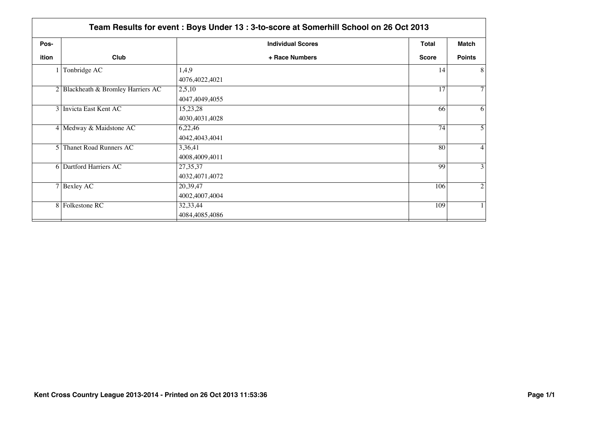|       | Team Results for event: Boys Under 13: 3-to-score at Somerhill School on 26 Oct 2013 |                          |              |                  |  |
|-------|--------------------------------------------------------------------------------------|--------------------------|--------------|------------------|--|
| Pos-  |                                                                                      | <b>Individual Scores</b> | <b>Total</b> | <b>Match</b>     |  |
| ition | Club                                                                                 | + Race Numbers           | <b>Score</b> | <b>Points</b>    |  |
|       | Tonbridge AC                                                                         | 1,4,9                    | 14           | 8 <sup>1</sup>   |  |
|       |                                                                                      | 4076,4022,4021           |              |                  |  |
|       | 2 Blackheath & Bromley Harriers AC                                                   | 2,5,10                   | 17           | 7 <sup>1</sup>   |  |
|       |                                                                                      | 4047,4049,4055           |              |                  |  |
|       | 3 Invicta East Kent AC                                                               | 15,23,28                 | 66           | 6                |  |
|       |                                                                                      | 4030,4031,4028           |              |                  |  |
|       | 4 Medway & Maidstone AC                                                              | 6,22,46                  | 74           | 5 <sup>1</sup>   |  |
|       |                                                                                      | 4042,4043,4041           |              |                  |  |
|       | 5 Thanet Road Runners AC                                                             | 3,36,41                  | 80           | $\left 4\right $ |  |
|       |                                                                                      | 4008,4009,4011           |              |                  |  |
|       | 6 Dartford Harriers AC                                                               | 27, 35, 37               | 99           | 3 <sup>1</sup>   |  |
|       |                                                                                      | 4032,4071,4072           |              |                  |  |
|       | $7$ Bexley AC                                                                        | 20,39,47                 | 106          | $\overline{2}$   |  |
|       |                                                                                      | 4002,4007,4004           |              |                  |  |
|       | 8 Folkestone RC                                                                      | 32,33,44                 | 109          | 1 <sup>1</sup>   |  |
|       |                                                                                      | 4084,4085,4086           |              |                  |  |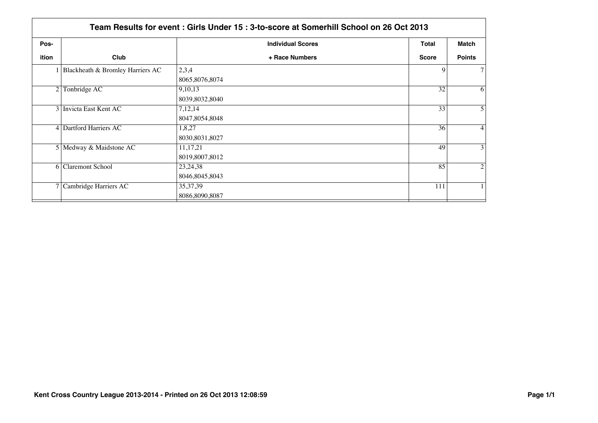|                | Team Results for event: Girls Under 15: 3-to-score at Somerhill School on 26 Oct 2013 |                                |                 |                 |  |  |
|----------------|---------------------------------------------------------------------------------------|--------------------------------|-----------------|-----------------|--|--|
| Pos-           |                                                                                       | <b>Individual Scores</b>       | <b>Total</b>    | Match           |  |  |
| ition          | Club                                                                                  | + Race Numbers                 | <b>Score</b>    | <b>Points</b>   |  |  |
|                | Blackheath & Bromley Harriers AC                                                      | 2,3,4<br>8065,8076,8074        | 9               | 7 <sup>1</sup>  |  |  |
| 2 <sub>1</sub> | Tonbridge AC                                                                          | 9,10,13<br>8039,8032,8040      | $\overline{32}$ | 6 <sup>1</sup>  |  |  |
|                | 3 Invicta East Kent AC                                                                | 7,12,14<br>8047,8054,8048      | 33              | 5 <sup>1</sup>  |  |  |
|                | 4 Dartford Harriers AC                                                                | 1,8,27<br>8030,8031,8027       | 36              | $\vert 4 \vert$ |  |  |
|                | 5 Medway & Maidstone AC                                                               | 11, 17, 21<br>8019,8007,8012   | 49              | 3 <sup>1</sup>  |  |  |
|                | 6 Claremont School                                                                    | 23, 24, 38<br>8046, 8045, 8043 | 85              | $\overline{2}$  |  |  |
|                | 7 Cambridge Harriers AC                                                               | 35, 37, 39<br>8086,8090,8087   | 111             |                 |  |  |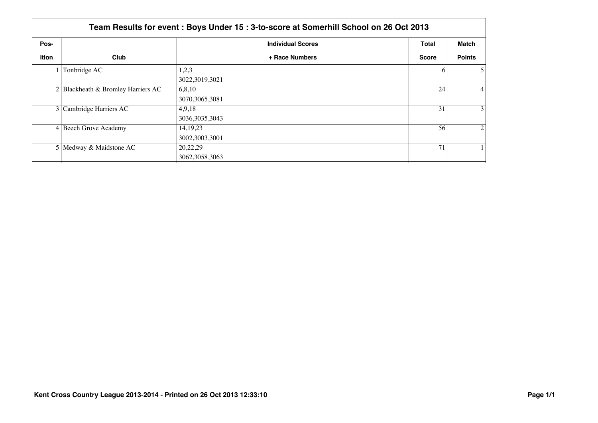|       | Team Results for event: Boys Under 15: 3-to-score at Somerhill School on 26 Oct 2013 |                              |              |                   |  |  |
|-------|--------------------------------------------------------------------------------------|------------------------------|--------------|-------------------|--|--|
| Pos-  |                                                                                      | <b>Individual Scores</b>     | Total        | Match             |  |  |
| ition | Club                                                                                 | + Race Numbers               | <b>Score</b> | <b>Points</b>     |  |  |
|       | Tonbridge AC                                                                         | 1,2,3<br>3022,3019,3021      | 6            | 5 <sup>1</sup>    |  |  |
|       | 2 Blackheath & Bromley Harriers AC                                                   | 6,8,10<br>3070, 3065, 3081   | 24           | $\vert 4 \vert$   |  |  |
|       | 3 Cambridge Harriers AC                                                              | 4,9,18<br>3036, 3035, 3043   | 31           | $\lvert 3 \rvert$ |  |  |
|       | 4 Beech Grove Academy                                                                | 14, 19, 23<br>3002,3003,3001 | 56           | $\overline{2}$    |  |  |
|       | 5 Medway & Maidstone AC                                                              | 20,22,29<br>3062, 3058, 3063 | 71           |                   |  |  |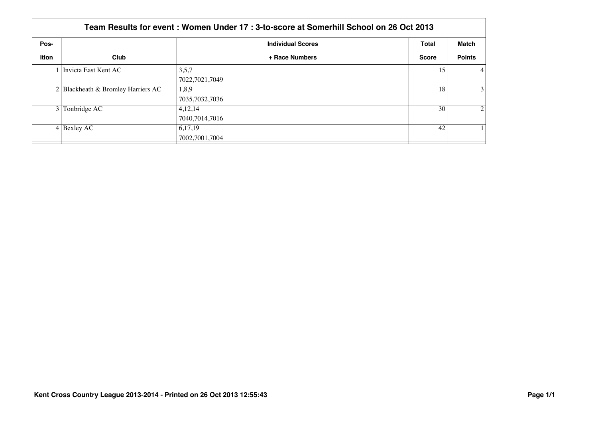|       | Team Results for event: Women Under 17: 3-to-score at Somerhill School on 26 Oct 2013 |                          |              |                 |  |
|-------|---------------------------------------------------------------------------------------|--------------------------|--------------|-----------------|--|
| Pos-  |                                                                                       | <b>Individual Scores</b> | <b>Total</b> | Match           |  |
| ition | Club                                                                                  | + Race Numbers           | <b>Score</b> | <b>Points</b>   |  |
|       | 1 Invicta East Kent AC                                                                | 3,5,7                    | 15           | $\vert 4 \vert$ |  |
|       |                                                                                       | 7022,7021,7049           |              |                 |  |
|       | $2$ Blackheath & Bromley Harriers AC                                                  | 1,8,9                    | 18           | 3 <sup>1</sup>  |  |
|       |                                                                                       | 7035,7032,7036           |              |                 |  |
| 3 I   | Tonbridge AC                                                                          | 4,12,14                  | 30           | $\overline{2}$  |  |
|       |                                                                                       | 7040,7014,7016           |              |                 |  |
|       | $4$ Bexley AC                                                                         | 6,17,19                  | 42           |                 |  |
|       |                                                                                       | 7002,7001,7004           |              |                 |  |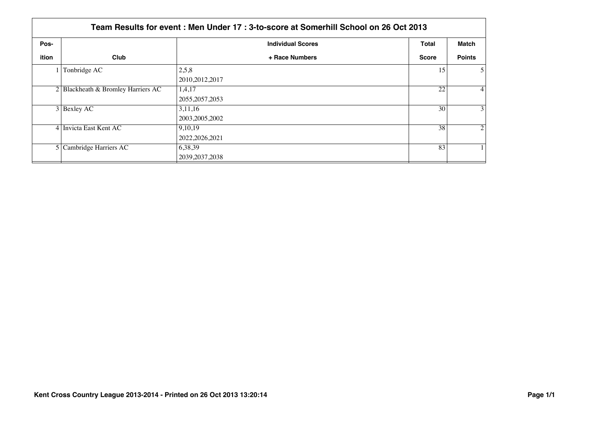|       | Team Results for event: Men Under 17: 3-to-score at Somerhill School on 26 Oct 2013 |                             |              |                  |  |  |
|-------|-------------------------------------------------------------------------------------|-----------------------------|--------------|------------------|--|--|
| Pos-  |                                                                                     | <b>Individual Scores</b>    | Total        | Match            |  |  |
| ition | Club                                                                                | + Race Numbers              | <b>Score</b> | <b>Points</b>    |  |  |
|       | Tonbridge AC                                                                        | 2,5,8<br>2010, 2012, 2017   | 15           | 5 <sup>1</sup>   |  |  |
|       | 2 Blackheath & Bromley Harriers AC                                                  | 1,4,17<br>2055, 2057, 2053  | 22           | $\left 4\right $ |  |  |
|       | $3$ Bexley AC                                                                       | 3,11,16<br>2003, 2005, 2002 | 30           | 3 <sup>1</sup>   |  |  |
|       | 4 Invicta East Kent AC                                                              | 9,10,19<br>2022, 2026, 2021 | 38           | $\overline{2}$   |  |  |
|       | 5 Cambridge Harriers AC                                                             | 6,38,39<br>2039, 2037, 2038 | 83           |                  |  |  |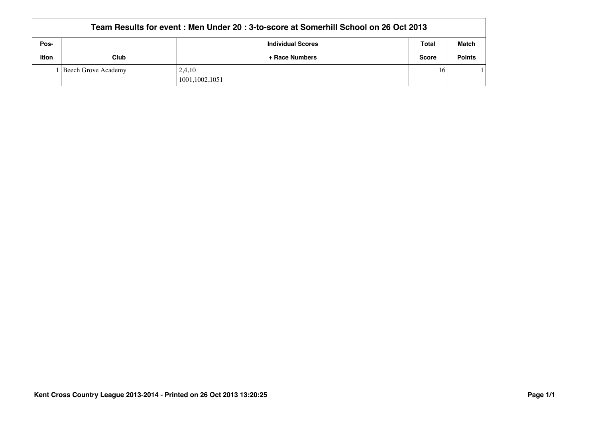|       | Team Results for event : Men Under 20 : 3-to-score at Somerhill School on 26 Oct 2013 |                          |              |               |  |
|-------|---------------------------------------------------------------------------------------|--------------------------|--------------|---------------|--|
| Pos-  |                                                                                       | <b>Individual Scores</b> | Total        | Match         |  |
| ition | Club                                                                                  | + Race Numbers           | <b>Score</b> | <b>Points</b> |  |
|       | l Beech Grove Academy                                                                 | 2,4,10                   | 16           |               |  |
|       |                                                                                       | 1001,1002,1051           |              |               |  |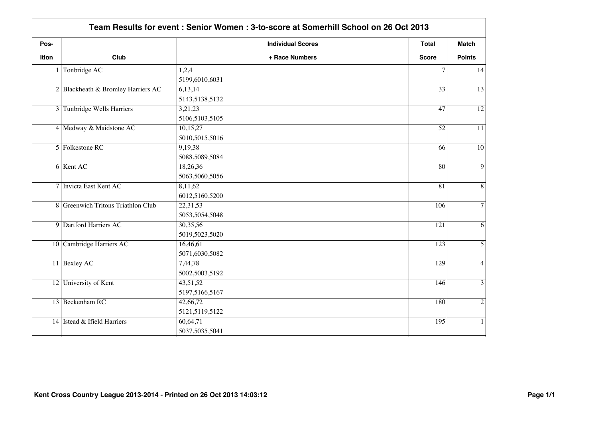| Pos-  |                                    | <b>Individual Scores</b> | Total           | <b>Match</b>    |
|-------|------------------------------------|--------------------------|-----------------|-----------------|
| ition | Club                               | + Race Numbers           | <b>Score</b>    | <b>Points</b>   |
|       | Tonbridge AC                       | 1,2,4                    | $\tau$          | 14              |
|       |                                    | 5199,6010,6031           |                 |                 |
|       | 2 Blackheath & Bromley Harriers AC | 6,13,14                  | $\overline{33}$ | $\overline{13}$ |
|       |                                    | 5143,5138,5132           |                 |                 |
|       | 3 Tunbridge Wells Harriers         | 3,21,23                  | 47              | $\overline{12}$ |
|       |                                    | 5106,5103,5105           |                 |                 |
|       | 4 Medway & Maidstone AC            | 10,15,27                 | $\overline{52}$ | $\overline{11}$ |
|       |                                    | 5010,5015,5016           |                 |                 |
|       | 5 Folkestone RC                    | 9,19,38                  | 66              | $\overline{10}$ |
|       |                                    | 5088,5089,5084           |                 |                 |
|       | 6 Kent AC                          | 18,26,36                 | $\overline{80}$ | $\overline{9}$  |
|       |                                    | 5063,5060,5056           |                 |                 |
|       | 7 Invicta East Kent AC             | 8,11,62                  | 81              | 8               |
|       |                                    | 6012,5160,5200           |                 |                 |
|       | 8 Greenwich Tritons Triathlon Club | 22,31,53                 | 106             | $\overline{7}$  |
|       |                                    | 5053,5054,5048           |                 |                 |
|       | 9 Dartford Harriers AC             | 30,35,56                 | 121             | 6               |
|       |                                    | 5019,5023,5020           |                 |                 |
|       | 10 Cambridge Harriers AC           | 16,46,61                 | 123             | $\overline{5}$  |
|       |                                    | 5071,6030,5082           |                 |                 |
|       | 11 Bexley AC                       | 7,44,78                  | 129             | $\overline{4}$  |
|       |                                    | 5002,5003,5192           |                 |                 |
|       | 12 University of Kent              | 43,51,52                 | 146             | $\overline{3}$  |
|       |                                    | 5197,5166,5167           |                 |                 |
|       | 13 Beckenham RC                    | 42,66,72                 | 180             | $\overline{2}$  |
|       |                                    | 5121,5119,5122           |                 |                 |
|       | 14 Istead & Ifield Harriers        | 60,64,71                 | 195             | $\mathbf{1}$    |
|       |                                    | 5037,5035,5041           |                 |                 |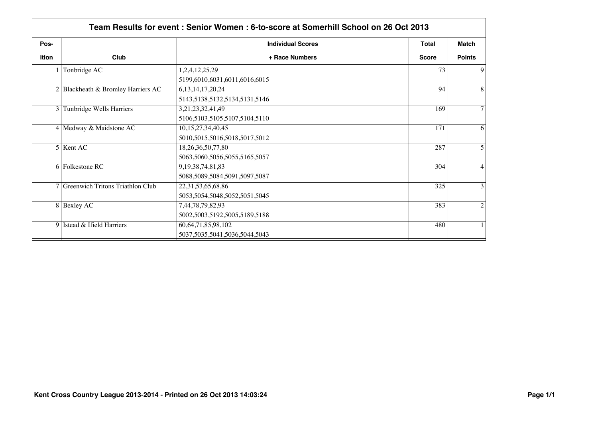|                | Team Results for event: Senior Women: 6-to-score at Somerhill School on 26 Oct 2013 |                                    |              |                |  |
|----------------|-------------------------------------------------------------------------------------|------------------------------------|--------------|----------------|--|
| Pos-           |                                                                                     | <b>Individual Scores</b>           | Total        | Match          |  |
| ition          | Club                                                                                | + Race Numbers                     | <b>Score</b> | <b>Points</b>  |  |
|                | Tonbridge AC                                                                        | 1,2,4,12,25,29                     | 73           | 9              |  |
|                |                                                                                     | 5199,6010,6031,6011,6016,6015      |              |                |  |
|                | 2 Blackheath & Bromley Harriers AC                                                  | 6, 13, 14, 17, 20, 24              | 94           | 8              |  |
|                |                                                                                     | 5143,5138,5132,5134,5131,5146      |              |                |  |
| $\overline{3}$ | Tunbridge Wells Harriers                                                            | 3,21,23,32,41,49                   | 169          | $\tau$         |  |
|                |                                                                                     | 5106,5103,5105,5107,5104,5110      |              |                |  |
|                | 4 Medway & Maidstone AC                                                             | 10, 15, 27, 34, 40, 45             | 171          | 6              |  |
|                |                                                                                     | 5010,5015,5016,5018,5017,5012      |              |                |  |
|                | $5$ Kent AC                                                                         | 18, 26, 36, 50, 77, 80             | 287          | 5              |  |
|                |                                                                                     | 5063,5060,5056,5055,5165,5057      |              |                |  |
|                | 6 Folkestone RC                                                                     | 9, 19, 38, 74, 81, 83              | 304          | $\overline{4}$ |  |
|                |                                                                                     | 5088,5089,5084,5091,5097,5087      |              |                |  |
|                | 7 Greenwich Tritons Triathlon Club                                                  | 22, 31, 53, 65, 68, 86             | 325          | 3              |  |
|                |                                                                                     | 5053, 5054, 5048, 5052, 5051, 5045 |              |                |  |
|                | 8 Bexley AC                                                                         | 7,44,78,79,82,93                   | 383          | 2              |  |
|                |                                                                                     | 5002,5003,5192,5005,5189,5188      |              |                |  |
|                | 9 Istead & Ifield Harriers                                                          | 60,64,71,85,98,102                 | 480          |                |  |
|                |                                                                                     | 5037, 5035, 5041, 5036, 5044, 5043 |              |                |  |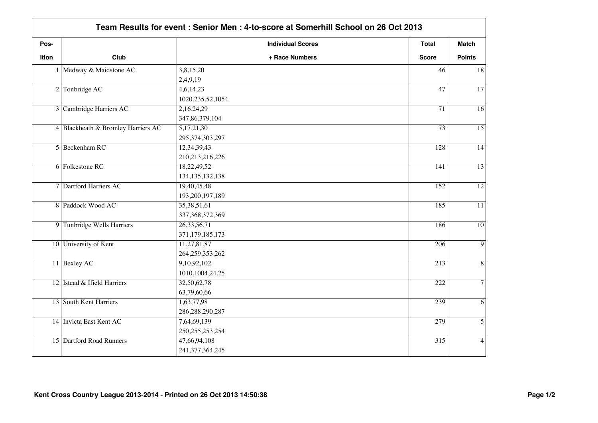|       | Team Results for event: Senior Men: 4-to-score at Somerhill School on 26 Oct 2013 |                          |                  |                 |
|-------|-----------------------------------------------------------------------------------|--------------------------|------------------|-----------------|
| Pos-  |                                                                                   | <b>Individual Scores</b> | <b>Total</b>     | <b>Match</b>    |
| ition | Club                                                                              | + Race Numbers           | <b>Score</b>     | <b>Points</b>   |
|       | 1 Medway & Maidstone AC                                                           | 3,8,15,20                | 46               | 18              |
|       |                                                                                   | 2,4,9,19                 |                  |                 |
|       | 2 Tonbridge AC                                                                    | 4,6,14,23                | $\overline{47}$  | $\overline{17}$ |
|       |                                                                                   | 1020, 235, 52, 1054      |                  |                 |
|       | 3 Cambridge Harriers AC                                                           | 2,16,24,29               | $\overline{71}$  | 16              |
|       |                                                                                   | 347,86,379,104           |                  |                 |
|       | 4 Blackheath & Bromley Harriers AC                                                | 5,17,21,30               | $\overline{73}$  | $\overline{15}$ |
|       |                                                                                   | 295, 374, 303, 297       |                  |                 |
|       | 5 Beckenham RC                                                                    | 12,34,39,43              | 128              | $\overline{14}$ |
|       |                                                                                   | 210,213,216,226          |                  |                 |
|       | 6 Folkestone RC                                                                   | 18,22,49,52              | 141              | $\overline{13}$ |
|       |                                                                                   | 134, 135, 132, 138       |                  |                 |
|       | 7 Dartford Harriers AC                                                            | 19,40,45,48              | 152              | $\overline{12}$ |
|       |                                                                                   | 193,200,197,189          |                  |                 |
|       | 8 Paddock Wood AC                                                                 | 35,38,51,61              | 185              | $\overline{11}$ |
|       |                                                                                   | 337, 368, 372, 369       |                  |                 |
|       | 9 Tunbridge Wells Harriers                                                        | 26, 33, 56, 71           | 186              | $\overline{10}$ |
|       |                                                                                   | 371,179,185,173          |                  |                 |
|       | 10 University of Kent                                                             | 11,27,81,87              | 206              | $\overline{9}$  |
|       |                                                                                   | 264,259,353,262          |                  |                 |
|       | 11 Bexley AC                                                                      | 9,10,92,102              | 213              | $\overline{8}$  |
|       |                                                                                   | 1010,1004,24,25          |                  |                 |
|       | 12 Istead & Ifield Harriers                                                       | 32,50,62,78              | 222              | $\overline{7}$  |
|       |                                                                                   | 63,79,60,66              |                  |                 |
|       | 13 South Kent Harriers                                                            | 1,63,77,98               | 239              | 6               |
|       |                                                                                   | 286, 288, 290, 287       |                  |                 |
|       | 14 Invicta East Kent AC                                                           | 7,64,69,139              | 279              | $\overline{5}$  |
|       |                                                                                   | 250, 255, 253, 254       |                  |                 |
|       | 15 Dartford Road Runners                                                          | 47,66,94,108             | $\overline{315}$ | $\overline{4}$  |
|       |                                                                                   | 241, 377, 364, 245       |                  |                 |
|       |                                                                                   |                          |                  |                 |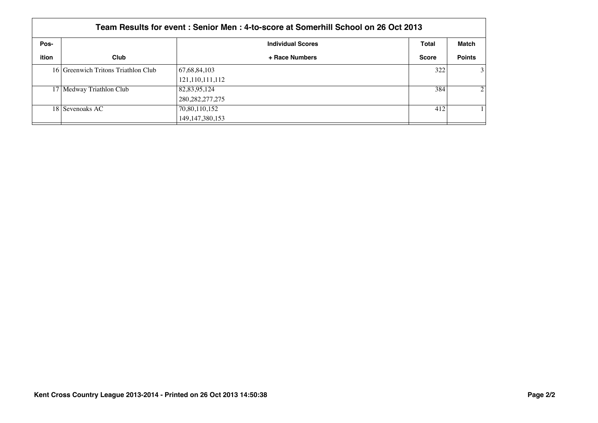|       | Team Results for event: Senior Men: 4-to-score at Somerhill School on 26 Oct 2013 |                          |              |                |  |  |
|-------|-----------------------------------------------------------------------------------|--------------------------|--------------|----------------|--|--|
| Pos-  |                                                                                   | <b>Individual Scores</b> | Total        | Match          |  |  |
| ition | Club                                                                              | + Race Numbers           | <b>Score</b> | <b>Points</b>  |  |  |
|       | 16 Greenwich Tritons Triathlon Club                                               | 67,68,84,103             | 322          | $\overline{3}$ |  |  |
|       |                                                                                   | 121,110,111,112          |              |                |  |  |
|       | 17 Medway Triathlon Club                                                          | 82,83,95,124             | 384          | $\overline{2}$ |  |  |
|       |                                                                                   | 280, 282, 277, 275       |              |                |  |  |
|       | 18 Sevenoaks AC                                                                   | 70,80,110,152            | 412          |                |  |  |
|       |                                                                                   | 149, 147, 380, 153       |              |                |  |  |